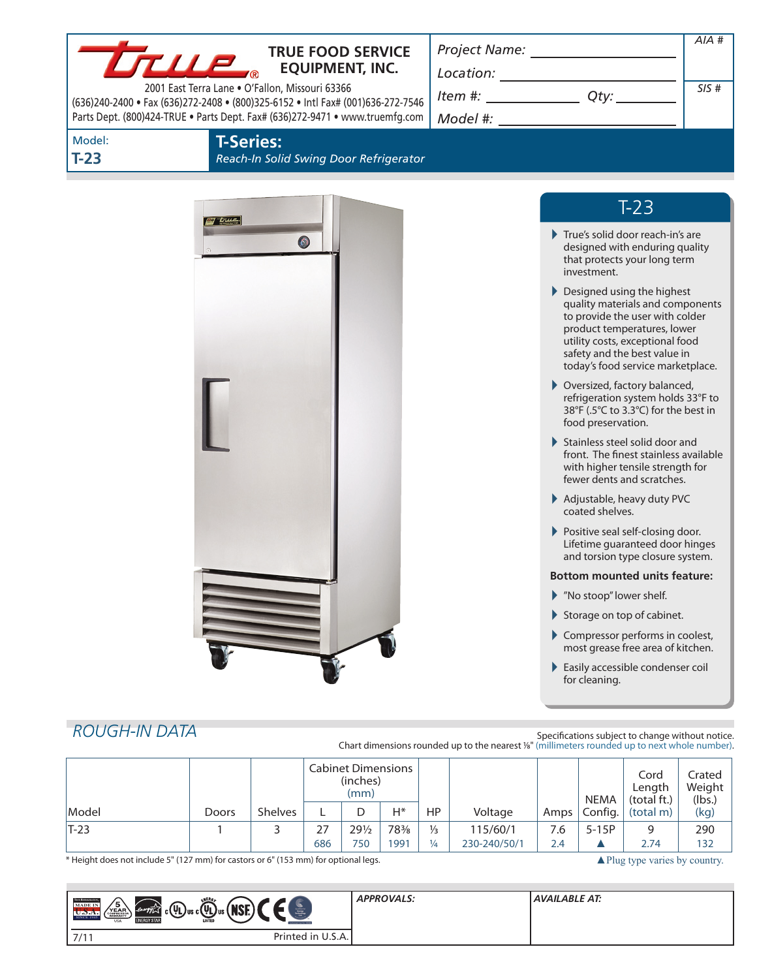| <b>TRUE FOOD SERVICE</b><br>True<br><b>EQUIPMENT, INC.</b>                                                                                                      |                                                                                                                                                                                                                                                                                                                                                                    |      |  |
|-----------------------------------------------------------------------------------------------------------------------------------------------------------------|--------------------------------------------------------------------------------------------------------------------------------------------------------------------------------------------------------------------------------------------------------------------------------------------------------------------------------------------------------------------|------|--|
| 2001 East Terra Lane . O'Fallon, Missouri 63366                                                                                                                 | $\begin{picture}(150,10) \put(0,0){\vector(1,0){100}} \put(15,0){\vector(1,0){100}} \put(15,0){\vector(1,0){100}} \put(15,0){\vector(1,0){100}} \put(15,0){\vector(1,0){100}} \put(15,0){\vector(1,0){100}} \put(15,0){\vector(1,0){100}} \put(15,0){\vector(1,0){100}} \put(15,0){\vector(1,0){100}} \put(15,0){\vector(1,0){100}} \put(15,0){\vector(1,0){100}}$ | SIS# |  |
| (636)240-2400 · Fax (636)272-2408 · (800)325-6152 · Intl Fax# (001)636-272-7546<br>Parts Dept. (800)424-TRUE . Parts Dept. Fax# (636)272-9471 . www.truemfg.com | $Item #: __________ Qty: __________$                                                                                                                                                                                                                                                                                                                               |      |  |
| Model:<br><b>T-Series:</b>                                                                                                                                      |                                                                                                                                                                                                                                                                                                                                                                    |      |  |
| $T-23$<br>Reach-In Solid Swing Door Refrigerator                                                                                                                |                                                                                                                                                                                                                                                                                                                                                                    |      |  |
|                                                                                                                                                                 |                                                                                                                                                                                                                                                                                                                                                                    |      |  |
| <b>By true</b>                                                                                                                                                  | $T-23$                                                                                                                                                                                                                                                                                                                                                             |      |  |
| $\bullet$                                                                                                                                                       | True's solid door reach-in's are<br>designed with enduring quality<br>that protects your long term<br>investment.                                                                                                                                                                                                                                                  |      |  |
|                                                                                                                                                                 | Designed using the highest<br>quality materials and components<br>to provide the user with colder<br>product temperatures, lower<br>utility costs, exceptional food<br>safety and the best value in<br>today's food service marketplace.                                                                                                                           |      |  |
|                                                                                                                                                                 | ▶ Oversized, factory balanced,<br>refrigeration system holds 33°F to<br>38°F (.5°C to 3.3°C) for the best in<br>food preservation.                                                                                                                                                                                                                                 |      |  |
|                                                                                                                                                                 | Stainless steel solid door and<br>front. The finest stainless available<br>with higher tensile strength for<br>fewer dents and scratches.                                                                                                                                                                                                                          |      |  |
|                                                                                                                                                                 | Adjustable, heavy duty PVC<br>coated shelves.                                                                                                                                                                                                                                                                                                                      |      |  |
|                                                                                                                                                                 | Positive seal self-closing door.<br>Lifetime guaranteed door hinges<br>and torsion type closure system.                                                                                                                                                                                                                                                            |      |  |
|                                                                                                                                                                 | <b>Bottom mounted units feature:</b>                                                                                                                                                                                                                                                                                                                               |      |  |
|                                                                                                                                                                 | Mo stoop" lower shelf.                                                                                                                                                                                                                                                                                                                                             |      |  |
|                                                                                                                                                                 | Storage on top of cabinet.                                                                                                                                                                                                                                                                                                                                         |      |  |
|                                                                                                                                                                 | Compressor performs in coolest,<br>most grease free area of kitchen.                                                                                                                                                                                                                                                                                               |      |  |
|                                                                                                                                                                 | Easily accessible condenser coil<br>for cleaning.                                                                                                                                                                                                                                                                                                                  |      |  |

# *Rough-In Data*

Specifications subject to change without notice. Chart dimensions rounded up to the nearest <sup>1</sup>/8" (millimeters rounded up to next whole number).

|        |       |                | <b>Cabinet Dimensions</b><br>(inches)<br>(mm) |                        |             |                                |                          | <b>NEMA</b> | Cord<br>Length<br>(total ft.) | Crated<br>Weight<br>(lbs.) |            |
|--------|-------|----------------|-----------------------------------------------|------------------------|-------------|--------------------------------|--------------------------|-------------|-------------------------------|----------------------------|------------|
| Model  | Doors | <b>Shelves</b> |                                               |                        | $H^*$       | HP                             | Voltage                  | Amps        | Config.                       | (total m)                  | (kg)       |
| $T-23$ |       |                | 27<br>686                                     | $29\frac{1}{2}$<br>750 | 78%<br>1991 | $\frac{1}{3}$<br>$\frac{1}{4}$ | 115/60/1<br>230-240/50/1 | 7.6<br>2.4  | $5-15P$                       | 9<br>2.74                  | 290<br>132 |

\* Height does not include 5" (127 mm) for castors or 6" (153 mm) for optional legs. <br>
<br>
A Plug type varies by country.

| <b>NERG</b><br><b>TRIK REFERENCE</b><br>5<br><b>MADE IN</b><br><b>THAT</b><br>$ $ c(YL)us c(YL)us ( $\aleph$<br>energy 2<br>YEAR<br><b>NSI</b><br>SINCE 1945<br><b>ENERGY STAR</b><br>LISTED<br>USA | <b><i><u>APPROXIMATE OF THE SERIES</u></i></b> | <b>APPROVALS:</b> | <b>AVAILABLE AT:</b> |
|-----------------------------------------------------------------------------------------------------------------------------------------------------------------------------------------------------|------------------------------------------------|-------------------|----------------------|
| 7/11                                                                                                                                                                                                | Printed in U.S.A.                              |                   |                      |